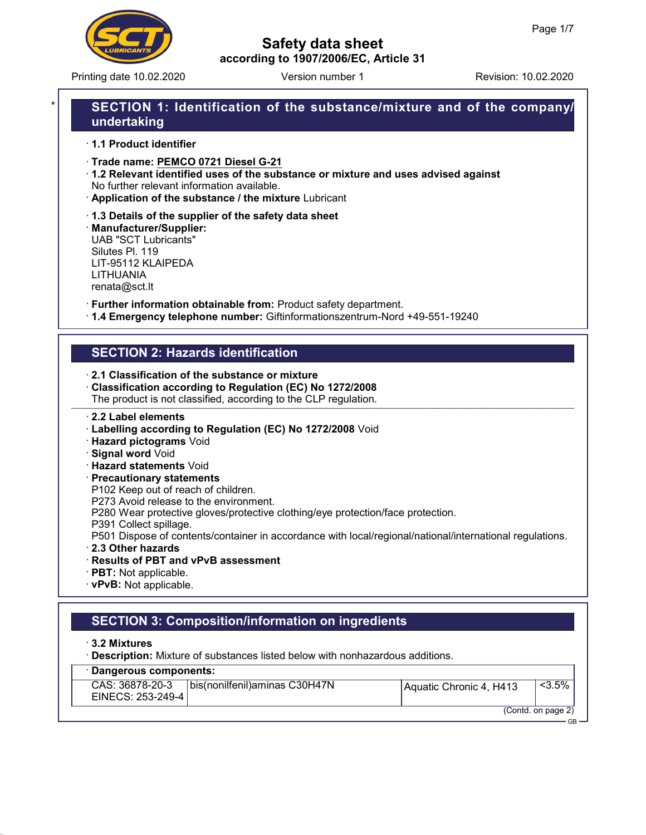

Printing date 10.02.2020 **Revision: 10.02.2020** Version number 1

## Safety data sheet according to 1907/2006/EC, Article 31

# SECTION 1: Identification of the substance/mixture and of the company/ undertaking

- · 1.1 Product identifier
- · Trade name: PEMCO 0721 Diesel G-21
- · 1.2 Relevant identified uses of the substance or mixture and uses advised against No further relevant information available.
- · Application of the substance / the mixture Lubricant
- · 1.3 Details of the supplier of the safety data sheet

· Manufacturer/Supplier: UAB "SCT Lubricants" Silutes Pl. 119 LIT-95112 KLAIPEDA LITHUANIA renata@sct.lt

- · Further information obtainable from: Product safety department.
- · 1.4 Emergency telephone number: Giftinformationszentrum-Nord +49-551-19240

# SECTION 2: Hazards identification

- · 2.1 Classification of the substance or mixture
- · Classification according to Regulation (EC) No 1272/2008 The product is not classified, according to the CLP regulation.
- · 2.2 Label elements
- · Labelling according to Regulation (EC) No 1272/2008 Void
- · Hazard pictograms Void
- · Signal word Void
- · Hazard statements Void
- · Precautionary statements
- P102 Keep out of reach of children.
- P273 Avoid release to the environment.
- P280 Wear protective gloves/protective clothing/eye protection/face protection.
- P391 Collect spillage.
- P501 Dispose of contents/container in accordance with local/regional/national/international regulations.
- · 2.3 Other hazards
- · Results of PBT and vPvB assessment
- · PBT: Not applicable.
- · vPvB: Not applicable.

# SECTION 3: Composition/information on ingredients

- · 3.2 Mixtures
- · Description: Mixture of substances listed below with nonhazardous additions.

|  |  | · Dangerous components: |  |
|--|--|-------------------------|--|
|--|--|-------------------------|--|

| <b>Daligerous components.</b>        |                                |                         |                    |
|--------------------------------------|--------------------------------|-------------------------|--------------------|
| CAS: 36878-20-3<br>EINECS: 253-249-4 | bis(nonilfenil) aminas C30H47N | Aquatic Chronic 4, H413 | $< 3.5\%$          |
|                                      |                                |                         | (Contd. on page 2) |

GB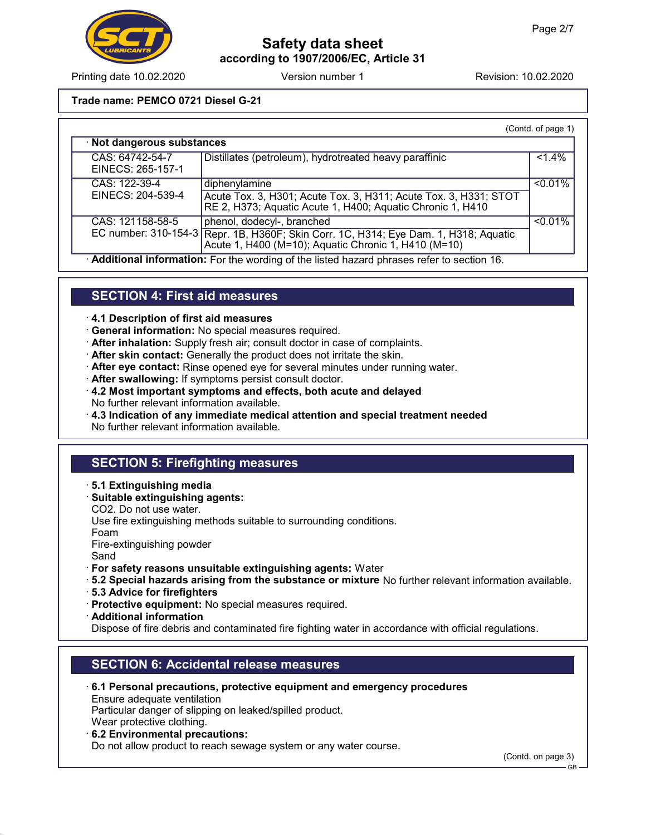

Printing date 10.02.2020 Version number 1 Revision: 10.02.2020

#### Trade name: PEMCO 0721 Diesel G-21

|                                      |                                                                                                                                                                            | (Contd. of page 1) |  |  |
|--------------------------------------|----------------------------------------------------------------------------------------------------------------------------------------------------------------------------|--------------------|--|--|
| · Not dangerous substances           |                                                                                                                                                                            |                    |  |  |
| CAS: 64742-54-7<br>EINECS: 265-157-1 | Distillates (petroleum), hydrotreated heavy paraffinic                                                                                                                     | $1.4\%$            |  |  |
| CAS: 122-39-4<br>EINECS: 204-539-4   | diphenylamine<br>Acute Tox. 3, H301; Acute Tox. 3, H311; Acute Tox. 3, H331; STOT<br>RE 2, H373; Aquatic Acute 1, H400; Aquatic Chronic 1, H410                            | $< 0.01\%$         |  |  |
| CAS: 121158-58-5                     | phenol, dodecyl-, branched<br>EC number: 310-154-3 Repr. 1B, H360F; Skin Corr. 1C, H314; Eye Dam. 1, H318; Aquatic<br>Acute 1, H400 (M=10); Aquatic Chronic 1, H410 (M=10) | $< 0.01\%$         |  |  |

· Additional information: For the wording of the listed hazard phrases refer to section 16.

### SECTION 4: First aid measures

· 4.1 Description of first aid measures

- · General information: No special measures required.
- · After inhalation: Supply fresh air; consult doctor in case of complaints.
- · After skin contact: Generally the product does not irritate the skin.
- · After eye contact: Rinse opened eye for several minutes under running water.
- · After swallowing: If symptoms persist consult doctor.
- · 4.2 Most important symptoms and effects, both acute and delayed No further relevant information available.
- $\cdot$  4.3 Indication of any immediate medical attention and special treatment needed No further relevant information available.

## SECTION 5: Firefighting measures

- · 5.1 Extinguishing media
- · Suitable extinguishing agents:

CO2. Do not use water.

Use fire extinguishing methods suitable to surrounding conditions.

Foam

Fire-extinguishing powder

Sand

- · For safety reasons unsuitable extinguishing agents: Water
- · 5.2 Special hazards arising from the substance or mixture No further relevant information available.
- · 5.3 Advice for firefighters
- · Protective equipment: No special measures required.
- · Additional information

Dispose of fire debris and contaminated fire fighting water in accordance with official regulations.

### SECTION 6: Accidental release measures

· 6.1 Personal precautions, protective equipment and emergency procedures

Ensure adequate ventilation Particular danger of slipping on leaked/spilled product.

Wear protective clothing.

· 6.2 Environmental precautions:

Do not allow product to reach sewage system or any water course.

(Contd. on page 3)

GB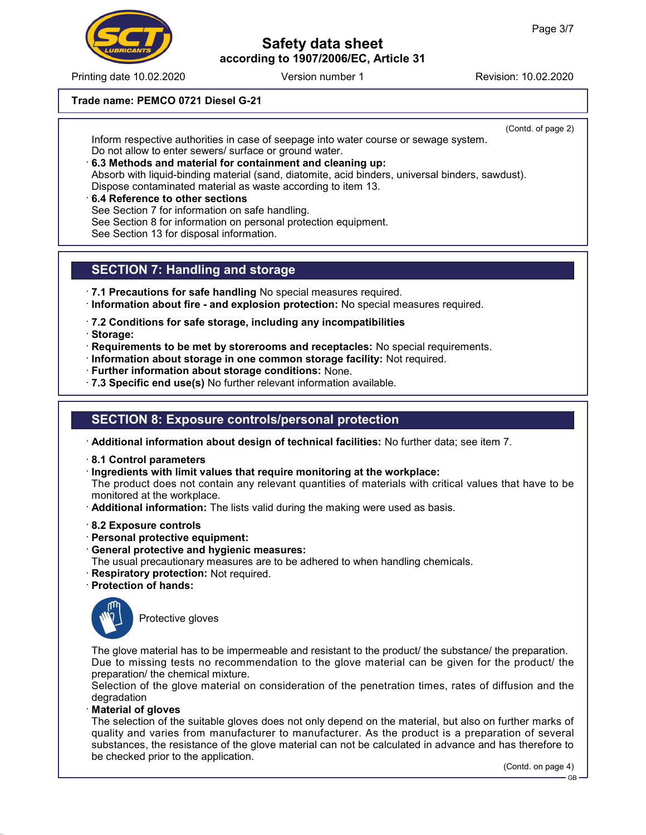

Printing date 10.02.2020 **Revision: 10.02.2020** Version number 1

#### Trade name: PEMCO 0721 Diesel G-21

(Contd. of page 2) Inform respective authorities in case of seepage into water course or sewage system. Do not allow to enter sewers/ surface or ground water.

- · 6.3 Methods and material for containment and cleaning up: Absorb with liquid-binding material (sand, diatomite, acid binders, universal binders, sawdust). Dispose contaminated material as waste according to item 13.
- 6.4 Reference to other sections See Section 7 for information on safe handling. See Section 8 for information on personal protection equipment. See Section 13 for disposal information.

### SECTION 7: Handling and storage

- · 7.1 Precautions for safe handling No special measures required. · Information about fire - and explosion protection: No special measures required.
- · 7.2 Conditions for safe storage, including any incompatibilities
- · Storage:
- · Requirements to be met by storerooms and receptacles: No special requirements.
- · Information about storage in one common storage facility: Not required.
- · Further information about storage conditions: None.
- · 7.3 Specific end use(s) No further relevant information available.

## SECTION 8: Exposure controls/personal protection

· Additional information about design of technical facilities: No further data; see item 7.

- · 8.1 Control parameters
- · Ingredients with limit values that require monitoring at the workplace:

The product does not contain any relevant quantities of materials with critical values that have to be monitored at the workplace.

- · Additional information: The lists valid during the making were used as basis.
- · 8.2 Exposure controls
- · Personal protective equipment:
- · General protective and hygienic measures:
- The usual precautionary measures are to be adhered to when handling chemicals.
- · Respiratory protection: Not required.
- · Protection of hands:



Protective gloves

The glove material has to be impermeable and resistant to the product/ the substance/ the preparation. Due to missing tests no recommendation to the glove material can be given for the product/ the preparation/ the chemical mixture.

Selection of the glove material on consideration of the penetration times, rates of diffusion and the degradation

#### **Material of gloves**

The selection of the suitable gloves does not only depend on the material, but also on further marks of quality and varies from manufacturer to manufacturer. As the product is a preparation of several substances, the resistance of the glove material can not be calculated in advance and has therefore to be checked prior to the application.

(Contd. on page 4)

GB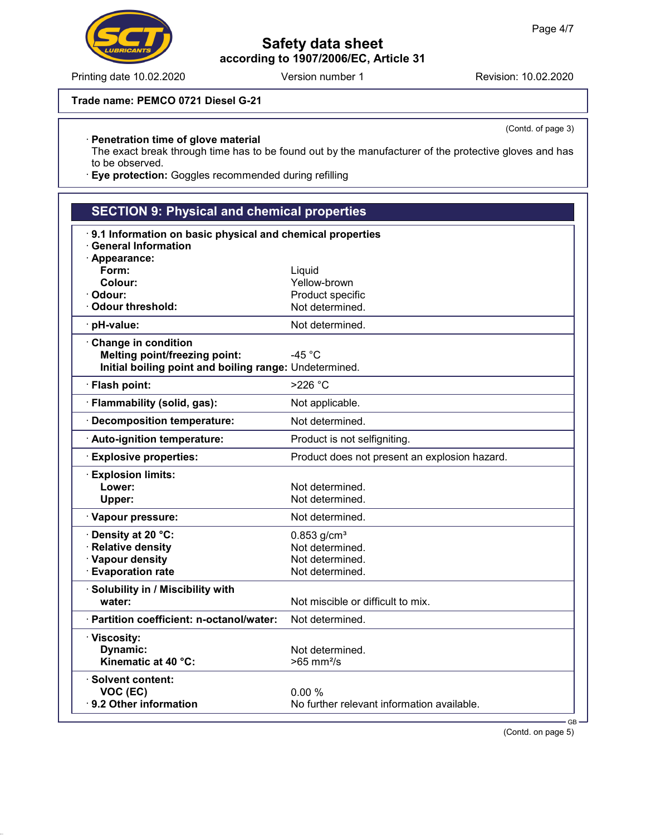#### Trade name: PEMCO 0721 Diesel G-21

#### · Penetration time of glove material

The exact break through time has to be found out by the manufacturer of the protective gloves and has to be observed.

· Eye protection: Goggles recommended during refilling

| <b>SECTION 9: Physical and chemical properties</b>        |                                               |  |  |
|-----------------------------------------------------------|-----------------------------------------------|--|--|
| 9.1 Information on basic physical and chemical properties |                                               |  |  |
| <b>General Information</b>                                |                                               |  |  |
| · Appearance:                                             |                                               |  |  |
| Form:                                                     | Liquid                                        |  |  |
| Colour:                                                   | Yellow-brown                                  |  |  |
| Odour:<br>· Odour threshold:                              | Product specific<br>Not determined.           |  |  |
|                                                           |                                               |  |  |
| · pH-value:                                               | Not determined.                               |  |  |
| Change in condition                                       |                                               |  |  |
| <b>Melting point/freezing point:</b>                      | -45 $^{\circ}$ C                              |  |  |
| Initial boiling point and boiling range: Undetermined.    |                                               |  |  |
| · Flash point:                                            | $>226$ °C                                     |  |  |
| · Flammability (solid, gas):                              | Not applicable.                               |  |  |
| · Decomposition temperature:                              | Not determined.                               |  |  |
| · Auto-ignition temperature:                              | Product is not selfigniting.                  |  |  |
| <b>Explosive properties:</b>                              | Product does not present an explosion hazard. |  |  |
| <b>Explosion limits:</b>                                  |                                               |  |  |
| Lower:                                                    | Not determined.                               |  |  |
| Upper:                                                    | Not determined.                               |  |  |
| · Vapour pressure:                                        | Not determined.                               |  |  |
| · Density at 20 °C:                                       | $0.853$ g/cm <sup>3</sup>                     |  |  |
| · Relative density                                        | Not determined.                               |  |  |
| · Vapour density                                          | Not determined.                               |  |  |
| <b>Evaporation rate</b>                                   | Not determined.                               |  |  |
| · Solubility in / Miscibility with                        |                                               |  |  |
| water:                                                    | Not miscible or difficult to mix.             |  |  |
| · Partition coefficient: n-octanol/water:                 | Not determined.                               |  |  |
| · Viscosity:                                              |                                               |  |  |
| Dynamic:                                                  | Not determined.                               |  |  |
| Kinematic at 40 °C:                                       | $>65$ mm <sup>2</sup> /s                      |  |  |
| $\cdot$ Solvent content:                                  |                                               |  |  |
| VOC (EC)                                                  | 0.00%                                         |  |  |
| 9.2 Other information                                     | No further relevant information available.    |  |  |
|                                                           | $GB -$                                        |  |  |



(Contd. of page 3)

(Contd. on page 5)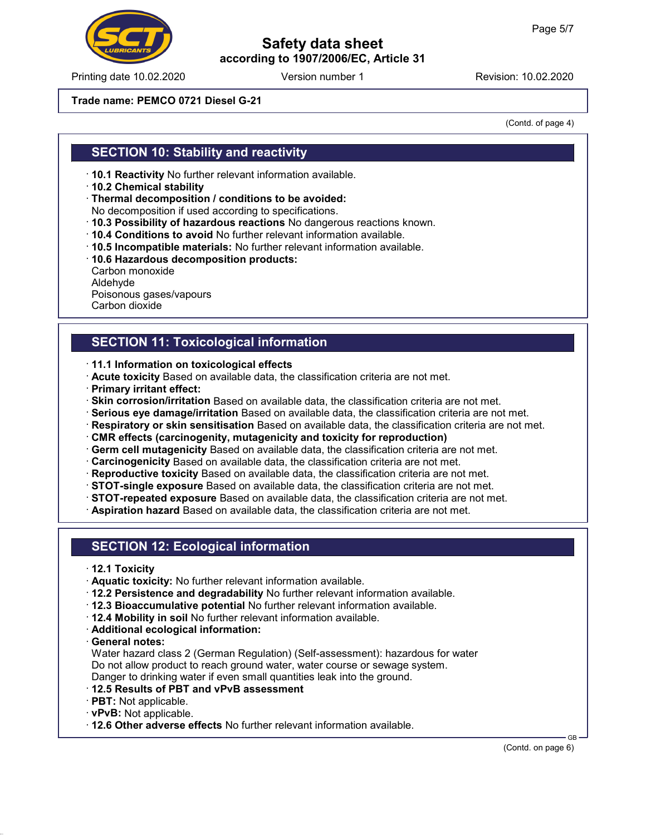Printing date 10.02.2020 **Revision: 10.02.2020** Version number 1

## Safety data sheet according to 1907/2006/EC, Article 31

#### Trade name: PEMCO 0721 Diesel G-21

(Contd. of page 4)

### SECTION 10: Stability and reactivity

- · 10.1 Reactivity No further relevant information available.
- · 10.2 Chemical stability
- · Thermal decomposition / conditions to be avoided:
- No decomposition if used according to specifications.
- · 10.3 Possibility of hazardous reactions No dangerous reactions known.
- · 10.4 Conditions to avoid No further relevant information available.
- · 10.5 Incompatible materials: No further relevant information available.
- · 10.6 Hazardous decomposition products:
- Carbon monoxide Aldehyde Poisonous gases/vapours Carbon dioxide

## SECTION 11: Toxicological information

- · 11.1 Information on toxicological effects
- · Acute toxicity Based on available data, the classification criteria are not met.
- · Primary irritant effect:
- · Skin corrosion/irritation Based on available data, the classification criteria are not met.
- · Serious eye damage/irritation Based on available data, the classification criteria are not met.
- · Respiratory or skin sensitisation Based on available data, the classification criteria are not met.
- · CMR effects (carcinogenity, mutagenicity and toxicity for reproduction)
- · Germ cell mutagenicity Based on available data, the classification criteria are not met.
- · Carcinogenicity Based on available data, the classification criteria are not met.
- · Reproductive toxicity Based on available data, the classification criteria are not met.
- · STOT-single exposure Based on available data, the classification criteria are not met.
- · STOT-repeated exposure Based on available data, the classification criteria are not met.
- · Aspiration hazard Based on available data, the classification criteria are not met.

### SECTION 12: Ecological information

- · 12.1 Toxicity
- · Aquatic toxicity: No further relevant information available.
- · 12.2 Persistence and degradability No further relevant information available.
- · 12.3 Bioaccumulative potential No further relevant information available.
- · 12.4 Mobility in soil No further relevant information available.
- · Additional ecological information:
- · General notes:

Water hazard class 2 (German Regulation) (Self-assessment): hazardous for water Do not allow product to reach ground water, water course or sewage system. Danger to drinking water if even small quantities leak into the ground.

- · 12.5 Results of PBT and vPvB assessment
- · PBT: Not applicable.
- · vPvB: Not applicable.
- · 12.6 Other adverse effects No further relevant information available.

GB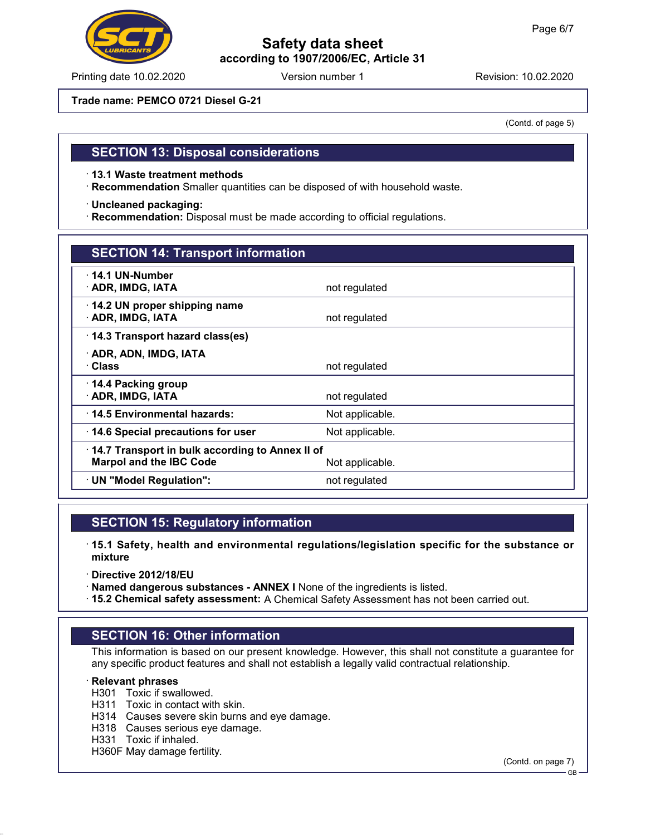

Printing date 10.02.2020 **Revision: 10.02.2020** Version number 1

Trade name: PEMCO 0721 Diesel G-21

(Contd. of page 5)

### SECTION 13: Disposal considerations

· 13.1 Waste treatment methods

· Recommendation Smaller quantities can be disposed of with household waste.

· Uncleaned packaging:

· Recommendation: Disposal must be made according to official regulations.

### SECTION 14: Transport information

| $\cdot$ 14.1 UN-Number<br>· ADR, IMDG, IATA                                       | not regulated   |
|-----------------------------------------------------------------------------------|-----------------|
| 14.2 UN proper shipping name<br>· ADR, IMDG, IATA                                 | not regulated   |
| 14.3 Transport hazard class(es)                                                   |                 |
| · ADR, ADN, IMDG, IATA<br>· Class                                                 | not regulated   |
| $\cdot$ 14.4 Packing group<br>· ADR, IMDG, IATA                                   | not regulated   |
| 14.5 Environmental hazards:                                                       | Not applicable. |
| 14.6 Special precautions for user                                                 | Not applicable. |
| 14.7 Transport in bulk according to Annex II of<br><b>Marpol and the IBC Code</b> | Not applicable. |
| · UN "Model Regulation":                                                          | not regulated   |
|                                                                                   |                 |

### SECTION 15: Regulatory information

· 15.1 Safety, health and environmental regulations/legislation specific for the substance or mixture

- · Directive 2012/18/EU
- · Named dangerous substances ANNEX I None of the ingredients is listed.
- · 15.2 Chemical safety assessment: A Chemical Safety Assessment has not been carried out.

### SECTION 16: Other information

This information is based on our present knowledge. However, this shall not constitute a guarantee for any specific product features and shall not establish a legally valid contractual relationship.

#### · Relevant phrases

- H301 Toxic if swallowed.
- H311 Toxic in contact with skin.
- H314 Causes severe skin burns and eye damage.
- H318 Causes serious eye damage.
- H331 Toxic if inhaled.

H360F May damage fertility.

(Contd. on page 7)

GB